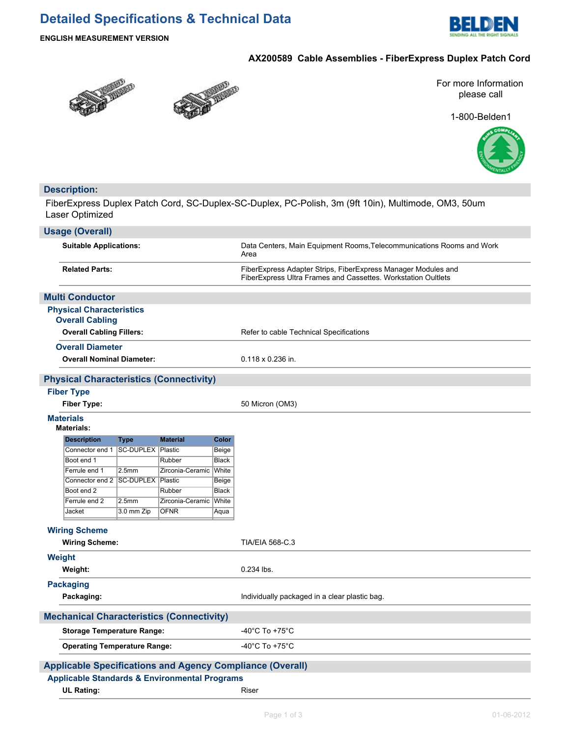# **Detailed Specifications & Technical Data**



**ENGLISH MEASUREMENT VERSION**

## **AX200589 Cable Assemblies - FiberExpress Duplex Patch Cord**





For more Information please call

1-800-Belden1



# **Description:**

FiberExpress Duplex Patch Cord, SC-Duplex-SC-Duplex, PC-Polish, 3m (9ft 10in), Multimode, OM3, 50um Laser Optimized

|                                                                          | <b>Usage (Overall)</b>                                   |                   |                  |                       |                                                                                                                                |
|--------------------------------------------------------------------------|----------------------------------------------------------|-------------------|------------------|-----------------------|--------------------------------------------------------------------------------------------------------------------------------|
|                                                                          | <b>Suitable Applications:</b>                            |                   |                  |                       | Data Centers, Main Equipment Rooms, Telecommunications Rooms and Work<br>Area                                                  |
|                                                                          | <b>Related Parts:</b>                                    |                   |                  |                       | FiberExpress Adapter Strips, FiberExpress Manager Modules and<br>FiberExpress Ultra Frames and Cassettes. Workstation Oultlets |
|                                                                          | <b>Multi Conductor</b>                                   |                   |                  |                       |                                                                                                                                |
|                                                                          | <b>Physical Characteristics</b>                          |                   |                  |                       |                                                                                                                                |
|                                                                          | <b>Overall Cabling</b>                                   |                   |                  |                       |                                                                                                                                |
|                                                                          | <b>Overall Cabling Fillers:</b>                          |                   |                  |                       | Refer to cable Technical Specifications                                                                                        |
|                                                                          | <b>Overall Diameter</b>                                  |                   |                  |                       |                                                                                                                                |
|                                                                          | <b>Overall Nominal Diameter:</b>                         |                   |                  |                       | 0.118 x 0.236 in.                                                                                                              |
|                                                                          | <b>Physical Characteristics (Connectivity)</b>           |                   |                  |                       |                                                                                                                                |
|                                                                          | <b>Fiber Type</b>                                        |                   |                  |                       |                                                                                                                                |
|                                                                          | <b>Fiber Type:</b>                                       |                   |                  |                       | 50 Micron (OM3)                                                                                                                |
|                                                                          | <b>Materials</b><br><b>Materials:</b>                    |                   |                  |                       |                                                                                                                                |
|                                                                          | <b>Description</b>                                       | <b>Type</b>       | <b>Material</b>  | Color                 |                                                                                                                                |
|                                                                          | Connector end 1   SC-DUPLEX   Plastic                    |                   |                  | Beige                 |                                                                                                                                |
|                                                                          | Boot end 1                                               |                   | Rubber           | <b>Black</b>          |                                                                                                                                |
|                                                                          | Ferrule end 1                                            | 2.5 <sub>mm</sub> | Zirconia-Ceramic | White                 |                                                                                                                                |
|                                                                          | Connector end 2 SC-DUPLEX Plastic<br>Boot end 2          |                   | Rubber           | Beige<br><b>Black</b> |                                                                                                                                |
|                                                                          | Ferrule end 2                                            | 2.5 <sub>mm</sub> | Zirconia-Ceramic | White                 |                                                                                                                                |
|                                                                          | Jacket                                                   | 3.0 mm Zip        | <b>OFNR</b>      | Aqua                  |                                                                                                                                |
|                                                                          |                                                          |                   |                  |                       |                                                                                                                                |
|                                                                          | <b>Wiring Scheme</b>                                     |                   |                  |                       |                                                                                                                                |
|                                                                          | <b>Wiring Scheme:</b>                                    |                   |                  |                       | <b>TIA/EIA 568-C.3</b>                                                                                                         |
|                                                                          | Weight                                                   |                   |                  |                       |                                                                                                                                |
|                                                                          | Weight:                                                  |                   |                  |                       | 0.234 lbs.                                                                                                                     |
|                                                                          | <b>Packaging</b>                                         |                   |                  |                       |                                                                                                                                |
|                                                                          | Packaging:                                               |                   |                  |                       | Individually packaged in a clear plastic bag.                                                                                  |
|                                                                          | <b>Mechanical Characteristics (Connectivity)</b>         |                   |                  |                       |                                                                                                                                |
|                                                                          |                                                          |                   |                  |                       | -40°C To +75°C                                                                                                                 |
| <b>Storage Temperature Range:</b><br><b>Operating Temperature Range:</b> |                                                          |                   |                  |                       | -40 $^{\circ}$ C To +75 $^{\circ}$ C                                                                                           |
|                                                                          |                                                          |                   |                  |                       |                                                                                                                                |
|                                                                          |                                                          |                   |                  |                       | <b>Applicable Specifications and Agency Compliance (Overall)</b>                                                               |
|                                                                          | <b>Applicable Standards &amp; Environmental Programs</b> |                   |                  |                       |                                                                                                                                |
|                                                                          | <b>UL Rating:</b>                                        |                   |                  |                       | Riser                                                                                                                          |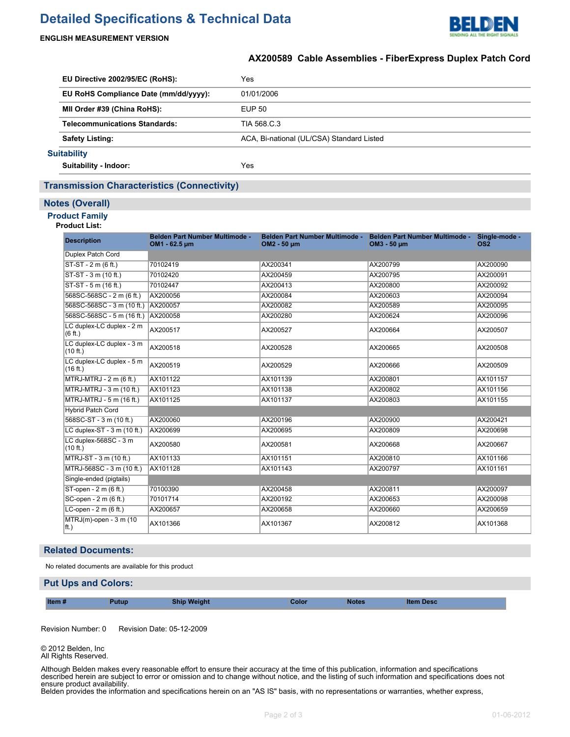# **Detailed Specifications & Technical Data**



### **ENGLISH MEASUREMENT VERSION**

# **AX200589 Cable Assemblies - FiberExpress Duplex Patch Cord**

| EU Directive 2002/95/EC (RoHS):       |                                      | Yes                                       |
|---------------------------------------|--------------------------------------|-------------------------------------------|
| EU RoHS Compliance Date (mm/dd/yyyy): |                                      | 01/01/2006                                |
|                                       | MII Order #39 (China RoHS):          | EUP 50                                    |
|                                       | <b>Telecommunications Standards:</b> | TIA 568 C.3                               |
|                                       | <b>Safety Listing:</b>               | ACA, Bi-national (UL/CSA) Standard Listed |
|                                       | <b>Suitability</b>                   |                                           |
|                                       | Suitability - Indoor:                | Yes                                       |

## **Transmission Characteristics (Connectivity)**

#### **Notes (Overall)**

## **Product Family**

#### **Product List:**

| <b>Description</b>                    | Belden Part Number Multimode -<br>OM1 - 62.5 um | Belden Part Number Multimode -<br>OM2 - 50 µm | Belden Part Number Multimode -<br>OM3 - 50 µm | Single-mode -<br>OS <sub>2</sub> |
|---------------------------------------|-------------------------------------------------|-----------------------------------------------|-----------------------------------------------|----------------------------------|
| Duplex Patch Cord                     |                                                 |                                               |                                               |                                  |
| $ST-ST - 2 m (6 ft.)$                 | 70102419                                        | AX200341                                      | AX200799                                      | AX200090                         |
| $ST-ST - 3 m (10 ft.)$                | 70102420                                        | AX200459                                      | AX200795                                      | AX200091                         |
| ST-ST - 5 m (16 ft.)                  | 70102447                                        | AX200413                                      | AX200800                                      | AX200092                         |
| 568SC-568SC - 2 m (6 ft.)             | AX200056                                        | AX200084                                      | AX200603                                      | AX200094                         |
| 568SC-568SC - 3 m (10 ft.)            | AX200057                                        | AX200082                                      | AX200589                                      | AX200095                         |
| 568SC-568SC - 5 m (16 ft.) AX200058   |                                                 | AX200280                                      | AX200624                                      | AX200096                         |
| LC duplex-LC duplex - 2 m<br>(6 ft.)  | AX200517                                        | AX200527                                      | AX200664                                      | AX200507                         |
| LC duplex-LC duplex - 3 m<br>(10 ft.) | AX200518                                        | AX200528                                      | AX200665                                      | AX200508                         |
| LC duplex-LC duplex - 5 m<br>(16 ft.) | AX200519                                        | AX200529                                      | AX200666                                      | AX200509                         |
| MTRJ-MTRJ - 2 m (6 ft.)               | AX101122                                        | AX101139                                      | AX200801                                      | AX101157                         |
| MTRJ-MTRJ - 3 m (10 ft.)              | AX101123                                        | AX101138                                      | AX200802                                      | AX101156                         |
| MTRJ-MTRJ - 5 m (16 ft.)              | AX101125                                        | AX101137                                      | AX200803                                      | AX101155                         |
| <b>Hybrid Patch Cord</b>              |                                                 |                                               |                                               |                                  |
| 568SC-ST - 3 m (10 ft.)               | AX200060                                        | AX200196                                      | AX200900                                      | AX200421                         |
| LC duplex-ST - 3 m (10 ft.)           | AX200699                                        | AX200695                                      | AX200809                                      | AX200698                         |
| LC duplex-568SC - 3 m<br>(10 ft.)     | AX200580                                        | AX200581                                      | AX200668                                      | AX200667                         |
| MTRJ-ST - 3 m (10 ft.)                | AX101133                                        | AX101151                                      | AX200810                                      | AX101166                         |
| MTRJ-568SC - 3 m (10 ft.)             | AX101128                                        | AX101143                                      | AX200797                                      | AX101161                         |
| Single-ended (pigtails)               |                                                 |                                               |                                               |                                  |
| ST-open - 2 m (6 ft.)                 | 70100390                                        | AX200458                                      | AX200811                                      | AX200097                         |
| SC-open - 2 m (6 ft.)                 | 70101714                                        | AX200192                                      | AX200653                                      | AX200098                         |
| LC-open - 2 m (6 ft.)                 | AX200657                                        | AX200658                                      | AX200660                                      | AX200659                         |
| $MTRJ(m)$ -open - 3 m (10<br>$ $ ft.) | AX101366                                        | AX101367                                      | AX200812                                      | AX101368                         |

#### **Related Documents:**

No related documents are available for this product

#### **Put Ups and Colors:**

| Item#<br><b>Weight</b><br>Putub.<br><b>Notes</b><br>olor<br>em Desc<br>snii |  |  |
|-----------------------------------------------------------------------------|--|--|
|-----------------------------------------------------------------------------|--|--|

Revision Number: 0 Revision Date: 05-12-2009

© 2012 Belden, Inc All Rights Reserved.

Although Belden makes every reasonable effort to ensure their accuracy at the time of this publication, information and specifications described herein are subject to error or omission and to change without notice, and the listing of such information and specifications does not ensure product availability.

Belden provides the information and specifications herein on an "AS IS" basis, with no representations or warranties, whether express, statutory or implied. In no event will Belden be liable for any damages (including consequential, indirect, incidental, special, punitive, or